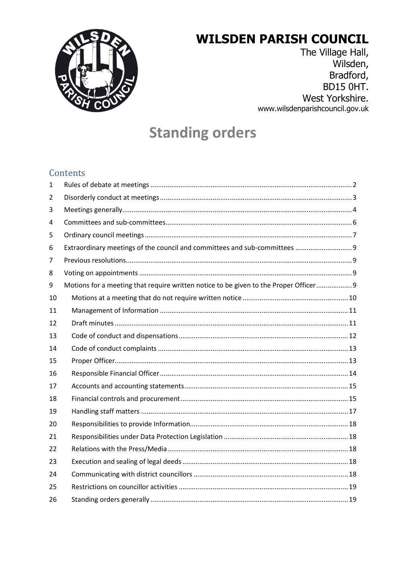

# **WILSDEN PARISH COUNCIL**

The Village Hall, Wilsden, Bradford, **BD15 0HT.** West Yorkshire. www.wilsdenparishcouncil.gov.uk

# **Standing orders**

#### Contents

| $\mathbf{1}$ |                                                                                       |
|--------------|---------------------------------------------------------------------------------------|
| 2            |                                                                                       |
| 3            |                                                                                       |
| 4            |                                                                                       |
| 5            |                                                                                       |
| 6            | Extraordinary meetings of the council and committees and sub-committees  9            |
| 7            |                                                                                       |
| 8            |                                                                                       |
| 9            | Motions for a meeting that require written notice to be given to the Proper Officer 9 |
| 10           |                                                                                       |
| 11           |                                                                                       |
| 12           |                                                                                       |
| 13           |                                                                                       |
| 14           |                                                                                       |
| 15           |                                                                                       |
| 16           |                                                                                       |
| 17           |                                                                                       |
| 18           |                                                                                       |
| 19           |                                                                                       |
| 20           |                                                                                       |
| 21           |                                                                                       |
| 22           |                                                                                       |
| 23           |                                                                                       |
| 24           |                                                                                       |
| 25           |                                                                                       |
| 26           |                                                                                       |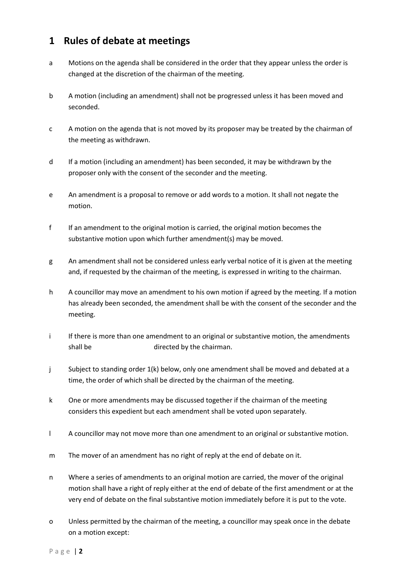#### <span id="page-1-0"></span>**1 Rules of debate at meetings**

- a Motions on the agenda shall be considered in the order that they appear unless the order is changed at the discretion of the chairman of the meeting.
- b A motion (including an amendment) shall not be progressed unless it has been moved and seconded.
- c A motion on the agenda that is not moved by its proposer may be treated by the chairman of the meeting as withdrawn.
- d If a motion (including an amendment) has been seconded, it may be withdrawn by the proposer only with the consent of the seconder and the meeting.
- e An amendment is a proposal to remove or add words to a motion. It shall not negate the motion.
- f If an amendment to the original motion is carried, the original motion becomes the substantive motion upon which further amendment(s) may be moved.
- g An amendment shall not be considered unless early verbal notice of it is given at the meeting and, if requested by the chairman of the meeting, is expressed in writing to the chairman.
- h A councillor may move an amendment to his own motion if agreed by the meeting. If a motion has already been seconded, the amendment shall be with the consent of the seconder and the meeting.
- i If there is more than one amendment to an original or substantive motion, the amendments shall be move in the order directed by the chairman.
- j Subject to standing order 1(k) below, only one amendment shall be moved and debated at a time, the order of which shall be directed by the chairman of the meeting.
- k One or more amendments may be discussed together if the chairman of the meeting considers this expedient but each amendment shall be voted upon separately.
- l A councillor may not move more than one amendment to an original or substantive motion.
- m The mover of an amendment has no right of reply at the end of debate on it.
- n Where a series of amendments to an original motion are carried, the mover of the original motion shall have a right of reply either at the end of debate of the first amendment or at the very end of debate on the final substantive motion immediately before it is put to the vote.
- o Unless permitted by the chairman of the meeting, a councillor may speak once in the debate on a motion except: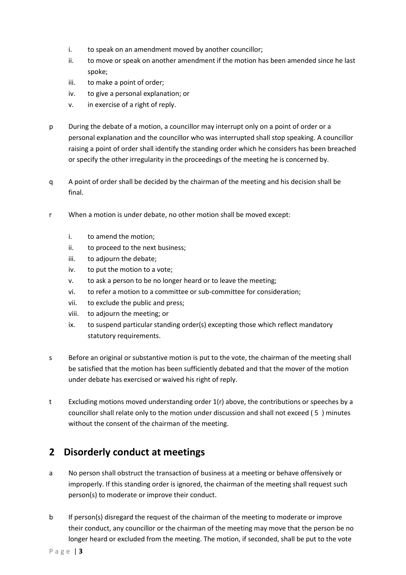- i. to speak on an amendment moved by another councillor;
- ii. to move or speak on another amendment if the motion has been amended since he last spoke;
- iii. to make a point of order;
- iv. to give a personal explanation; or
- v. in exercise of a right of reply.
- p During the debate of a motion, a councillor may interrupt only on a point of order or a personal explanation and the councillor who was interrupted shall stop speaking. A councillor raising a point of order shall identify the standing order which he considers has been breached or specify the other irregularity in the proceedings of the meeting he is concerned by.
- q A point of order shall be decided by the chairman of the meeting and his decision shall be final.
- r When a motion is under debate, no other motion shall be moved except:
	- i. to amend the motion;
	- ii. to proceed to the next business;
	- iii. to adjourn the debate;
	- iv. to put the motion to a vote;
	- v. to ask a person to be no longer heard or to leave the meeting;
	- vi. to refer a motion to a committee or sub-committee for consideration;
	- vii. to exclude the public and press;
	- viii. to adjourn the meeting; or
	- ix. to suspend particular standing order(s) excepting those which reflect mandatory statutory requirements.
- s Before an original or substantive motion is put to the vote, the chairman of the meeting shall be satisfied that the motion has been sufficiently debated and that the mover of the motion under debate has exercised or waived his right of reply.
- t Excluding motions moved understanding order 1(r) above, the contributions or speeches by a councillor shall relate only to the motion under discussion and shall not exceed ( 5 ) minutes without the consent of the chairman of the meeting.

#### <span id="page-2-0"></span>**2 Disorderly conduct at meetings**

- a No person shall obstruct the transaction of business at a meeting or behave offensively or improperly. If this standing order is ignored, the chairman of the meeting shall request such person(s) to moderate or improve their conduct.
- b If person(s) disregard the request of the chairman of the meeting to moderate or improve their conduct, any councillor or the chairman of the meeting may move that the person be no longer heard or excluded from the meeting. The motion, if seconded, shall be put to the vote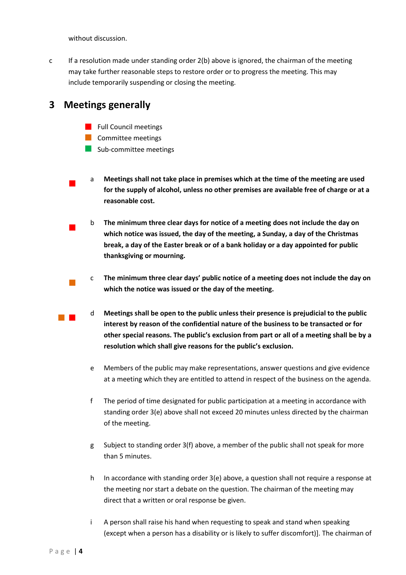without discussion.

c If a resolution made under standing order 2(b) above is ignored, the chairman of the meeting may take further reasonable steps to restore order or to progress the meeting. This may include temporarily suspending or closing the meeting.

#### <span id="page-3-0"></span>**3 Meetings generally**

- **Full Council meetings**
- **Committee meetings**
- Sub-committee meetings
- <sup>a</sup> **Meetings shall not take place in premises which at the time of the meeting are used for the supply of alcohol, unless no other premises are available free of charge or at a reasonable cost.**
- <sup>b</sup> **The minimum three clear days for notice of a meeting does not include the day on which notice was issued, the day of the meeting, a Sunday, a day of the Christmas break, a day of the Easter break or of a bank holiday or a day appointed for public thanksgiving or mourning.**
- c **The minimum three clear days' public notice of a meeting does not include the day on which the notice was issued or the day of the meeting.**
- <sup>d</sup> **Meetings shall be open to the public unless their presence is prejudicial to the public interest by reason of the confidential nature of the business to be transacted or for other special reasons. The public's exclusion from part or all of a meeting shall be by a resolution which shall give reasons for the public's exclusion.**
	- e Members of the public may make representations, answer questions and give evidence at a meeting which they are entitled to attend in respect of the business on the agenda.
	- f The period of time designated for public participation at a meeting in accordance with standing order 3(e) above shall not exceed 20 minutes unless directed by the chairman of the meeting.
	- g Subject to standing order 3(f) above, a member of the public shall not speak for more than 5 minutes.
	- h In accordance with standing order 3(e) above, a question shall not require a response at the meeting nor start a debate on the question. The chairman of the meeting may direct that a written or oral response be given.
	- i A person shall raise his hand when requesting to speak and stand when speaking (except when a person has a disability or is likely to suffer discomfort)]. The chairman of

 $\mathcal{L}_{\mathcal{A}}$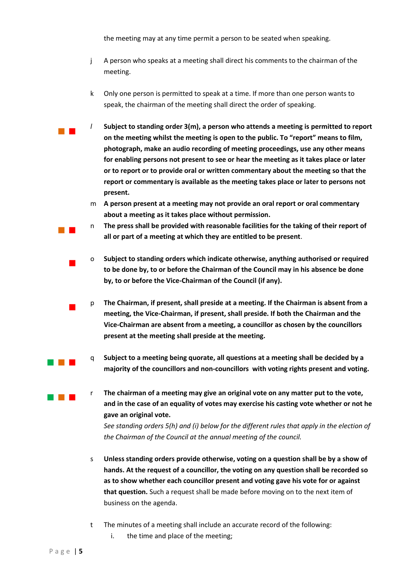the meeting may at any time permit a person to be seated when speaking.

- j A person who speaks at a meeting shall direct his comments to the chairman of the meeting.
- k Only one person is permitted to speak at a time. If more than one person wants to speak, the chairman of the meeting shall direct the order of speaking.
- *<sup>l</sup>* **Subject to standing order 3(m), a person who attends a meeting is permitted to report on the meeting whilst the meeting is open to the public. To "report" means to film, photograph, make an audio recording of meeting proceedings, use any other means for enabling persons not present to see or hear the meeting as it takes place or later or to report or to provide oral or written commentary about the meeting so that the report or commentary is available as the meeting takes place or later to persons not present.**
	- m **A person present at a meeting may not provide an oral report or oral commentary about a meeting as it takes place without permission.**
	- <sup>n</sup> **The press shall be provided with reasonable facilities for the taking of their report of all or part of a meeting at which they are entitled to be present**.
	- <sup>o</sup> **Subject to standing orders which indicate otherwise, anything authorised or required to be done by, to or before the Chairman of the Council may in his absence be done by, to or before the Vice-Chairman of the Council (if any).**
	- <sup>p</sup> **The Chairman, if present, shall preside at a meeting. If the Chairman is absent from a meeting, the Vice-Chairman, if present, shall preside. If both the Chairman and the Vice-Chairman are absent from a meeting, a councillor as chosen by the councillors present at the meeting shall preside at the meeting.**
	- <sup>q</sup> **Subject to a meeting being quorate, all questions at a meeting shall be decided by a majority of the councillors and non-councillors with voting rights present and voting.**
- <sup>r</sup> **The chairman of a meeting may give an original vote on any matter put to the vote, and in the case of an equality of votes may exercise his casting vote whether or not he gave an original vote.**  *See standing orders 5(h) and (i) below for the different rules that apply in the election of*

*the Chairman of the Council at the annual meeting of the council.* 

- s **Unless standing orders provide otherwise, voting on a question shall be by a show of hands. At the request of a councillor, the voting on any question shall be recorded so as to show whether each councillor present and voting gave his vote for or against that question.** Such a request shall be made before moving on to the next item of business on the agenda.
- t The minutes of a meeting shall include an accurate record of the following:
	- i. the time and place of the meeting;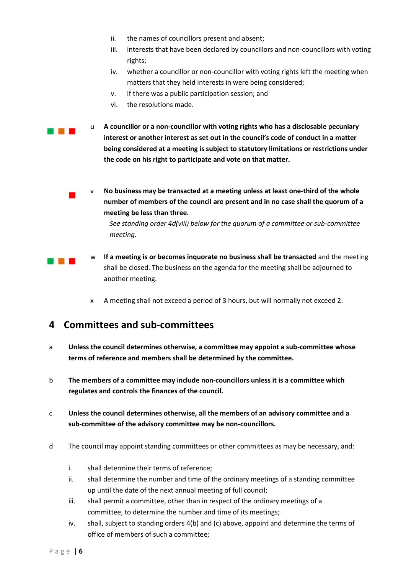- ii. the names of councillors present and absent;
- iii. interests that have been declared by councillors and non-councillors with voting rights;
- iv. whether a councillor or non-councillor with voting rights left the meeting when matters that they held interests in were being considered;
- v. if there was a public participation session; and
- vi. the resolutions made.
- <sup>u</sup> **A councillor or a non-councillor with voting rights who has a disclosable pecuniary interest or another interest as set out in the council's code of conduct in a matter being considered at a meeting is subject to statutory limitations or restrictions under the code on his right to participate and vote on that matter.**
- $\overline{\phantom{a}}$ v **No business may be transacted at a meeting unless at least one-third of the whole number of members of the council are present and in no case shall the quorum of a meeting be less than three.**

*See standing order 4d(viii) below for the quorum of a committee or sub-committee meeting.* 

- <sup>w</sup> **If a meeting is or becomes inquorate no business shall be transacted** and the meeting shall be closed. The business on the agenda for the meeting shall be adjourned to another meeting.
	- x A meeting shall not exceed a period of 3 hours, but will normally not exceed 2.

#### <span id="page-5-0"></span>**4 Committees and sub-committees**

- a **Unless the council determines otherwise, a committee may appoint a sub-committee whose terms of reference and members shall be determined by the committee.**
- b **The members of a committee may include non-councillors unless it is a committee which regulates and controls the finances of the council.**
- c **Unless the council determines otherwise, all the members of an advisory committee and a sub-committee of the advisory committee may be non-councillors.**
- d The council may appoint standing committees or other committees as may be necessary, and:
	- i. shall determine their terms of reference;
	- ii. shall determine the number and time of the ordinary meetings of a standing committee up until the date of the next annual meeting of full council;
	- iii. shall permit a committee, other than in respect of the ordinary meetings of a committee, to determine the number and time of its meetings;
	- iv. shall, subject to standing orders 4(b) and (c) above, appoint and determine the terms of office of members of such a committee;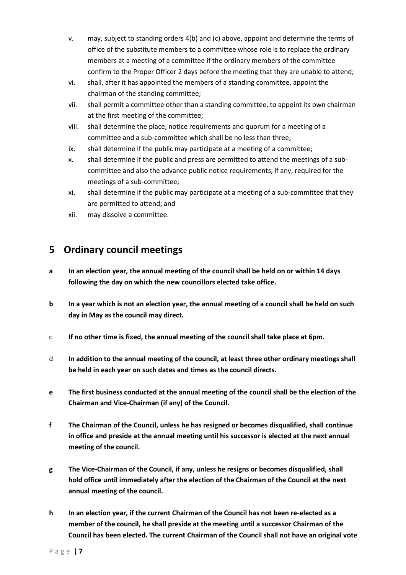- v. may, subject to standing orders 4(b) and (c) above, appoint and determine the terms of office of the substitute members to a committee whose role is to replace the ordinary members at a meeting of a committee if the ordinary members of the committee confirm to the Proper Officer 2 days before the meeting that they are unable to attend;
- vi. shall, after it has appointed the members of a standing committee, appoint the chairman of the standing committee;
- vii. shall permit a committee other than a standing committee, to appoint its own chairman at the first meeting of the committee;
- viii. shall determine the place, notice requirements and quorum for a meeting of a committee and a sub-committee which shall be no less than three;
- ix. shall determine if the public may participate at a meeting of a committee;
- x. shall determine if the public and press are permitted to attend the meetings of a subcommittee and also the advance public notice requirements, if any, required for the meetings of a sub-committee;
- xi. shall determine if the public may participate at a meeting of a sub-committee that they are permitted to attend; and
- xii. may dissolve a committee.

## <span id="page-6-0"></span>**5 Ordinary council meetings**

- **a In an election year, the annual meeting of the council shall be held on or within 14 days following the day on which the new councillors elected take office.**
- **b In a year which is not an election year, the annual meeting of a council shall be held on such day in May as the council may direct.**
- c **If no other time is fixed, the annual meeting of the council shall take place at 6pm.**
- d **In addition to the annual meeting of the council, at least three other ordinary meetings shall be held in each year on such dates and times as the council directs.**
- **e The first business conducted at the annual meeting of the council shall be the election of the Chairman and Vice-Chairman (if any) of the Council.**
- **f The Chairman of the Council, unless he has resigned or becomes disqualified, shall continue in office and preside at the annual meeting until his successor is elected at the next annual meeting of the council.**
- **g The Vice-Chairman of the Council, if any, unless he resigns or becomes disqualified, shall hold office until immediately after the election of the Chairman of the Council at the next annual meeting of the council.**
- **h In an election year, if the current Chairman of the Council has not been re-elected as a member of the council, he shall preside at the meeting until a successor Chairman of the Council has been elected. The current Chairman of the Council shall not have an original vote**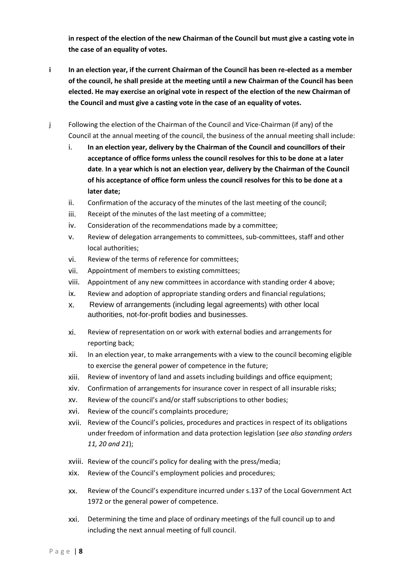**in respect of the election of the new Chairman of the Council but must give a casting vote in the case of an equality of votes.** 

- **i In an election year, if the current Chairman of the Council has been re-elected as a member of the council, he shall preside at the meeting until a new Chairman of the Council has been elected. He may exercise an original vote in respect of the election of the new Chairman of the Council and must give a casting vote in the case of an equality of votes.**
- j Following the election of the Chairman of the Council and Vice-Chairman (if any) of the Council at the annual meeting of the council, the business of the annual meeting shall include:
	- i. **In an election year, delivery by the Chairman of the Council and councillors of their acceptance of office forms unless the council resolves for this to be done at a later date**. **In a year which is not an election year, delivery by the Chairman of the Council of his acceptance of office form unless the council resolves for this to be done at a later date;**
	- ii. Confirmation of the accuracy of the minutes of the last meeting of the council;
	- iii. Receipt of the minutes of the last meeting of a committee;
	- iv. Consideration of the recommendations made by a committee;
	- v. Review of delegation arrangements to committees, sub-committees, staff and other local authorities;
	- vi. Review of the terms of reference for committees;
	- vii. Appointment of members to existing committees;
	- viii. Appointment of any new committees in accordance with standing order 4 above;
	- ix. Review and adoption of appropriate standing orders and financial regulations;
	- x. Review of arrangements (including legal agreements) with other local authorities, not-for-profit bodies and businesses.
	- xi. Review of representation on or work with external bodies and arrangements for reporting back;
	- xii. In an election year, to make arrangements with a view to the council becoming eligible to exercise the general power of competence in the future;
	- xiii. Review of inventory of land and assets including buildings and office equipment;
	- xiv. Confirmation of arrangements for insurance cover in respect of all insurable risks;
	- xv. Review of the council's and/or staff subscriptions to other bodies;
	- xvi. Review of the council's complaints procedure;
	- xvii. Review of the Council's policies, procedures and practices in respect of its obligations under freedom of information and data protection legislation (*see also standing orders 11, 20 and 21*);
	- xviii. Review of the council's policy for dealing with the press/media;
	- xix. Review of the Council's employment policies and procedures;
	- xx. Review of the Council's expenditure incurred under s.137 of the Local Government Act 1972 or the general power of competence.
	- xxi. Determining the time and place of ordinary meetings of the full council up to and including the next annual meeting of full council.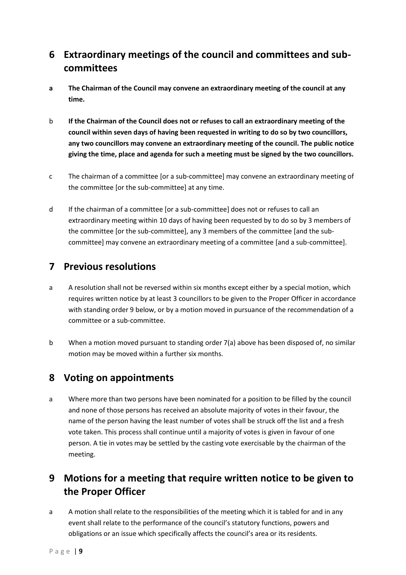# <span id="page-8-0"></span>**6 Extraordinary meetings of the council and committees and subcommittees**

- **a The Chairman of the Council may convene an extraordinary meeting of the council at any time.**
- b **If the Chairman of the Council does not or refuses to call an extraordinary meeting of the council within seven days of having been requested in writing to do so by two councillors, any two councillors may convene an extraordinary meeting of the council. The public notice giving the time, place and agenda for such a meeting must be signed by the two councillors.**
- c The chairman of a committee [or a sub-committee] may convene an extraordinary meeting of the committee [or the sub-committee] at any time.
- d If the chairman of a committee [or a sub-committee] does not or refuses to call an extraordinary meeting within 10 days of having been requested by to do so by 3 members of the committee [or the sub-committee], any 3 members of the committee [and the subcommittee] may convene an extraordinary meeting of a committee [and a sub-committee].

#### <span id="page-8-1"></span>**7 Previous resolutions**

- a A resolution shall not be reversed within six months except either by a special motion, which requires written notice by at least 3 councillors to be given to the Proper Officer in accordance with standing order 9 below, or by a motion moved in pursuance of the recommendation of a committee or a sub-committee.
- b When a motion moved pursuant to standing order 7(a) above has been disposed of, no similar motion may be moved within a further six months.

## <span id="page-8-2"></span>**8 Voting on appointments**

a Where more than two persons have been nominated for a position to be filled by the council and none of those persons has received an absolute majority of votes in their favour, the name of the person having the least number of votes shall be struck off the list and a fresh vote taken. This process shall continue until a majority of votes is given in favour of one person. A tie in votes may be settled by the casting vote exercisable by the chairman of the meeting.

# <span id="page-8-3"></span>**9 Motions for a meeting that require written notice to be given to the Proper Officer**

a A motion shall relate to the responsibilities of the meeting which it is tabled for and in any event shall relate to the performance of the council's statutory functions, powers and obligations or an issue which specifically affects the council's area or its residents.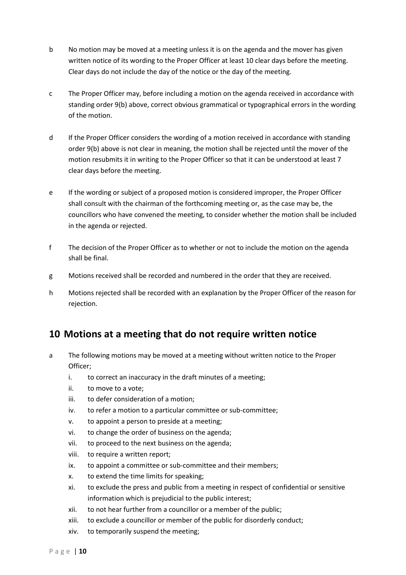- b No motion may be moved at a meeting unless it is on the agenda and the mover has given written notice of its wording to the Proper Officer at least 10 clear days before the meeting. Clear days do not include the day of the notice or the day of the meeting.
- c The Proper Officer may, before including a motion on the agenda received in accordance with standing order 9(b) above, correct obvious grammatical or typographical errors in the wording of the motion.
- d If the Proper Officer considers the wording of a motion received in accordance with standing order 9(b) above is not clear in meaning, the motion shall be rejected until the mover of the motion resubmits it in writing to the Proper Officer so that it can be understood at least 7 clear days before the meeting.
- e If the wording or subject of a proposed motion is considered improper, the Proper Officer shall consult with the chairman of the forthcoming meeting or, as the case may be, the councillors who have convened the meeting, to consider whether the motion shall be included in the agenda or rejected.
- f The decision of the Proper Officer as to whether or not to include the motion on the agenda shall be final.
- g Motions received shall be recorded and numbered in the order that they are received.
- h Motions rejected shall be recorded with an explanation by the Proper Officer of the reason for rejection.

## <span id="page-9-0"></span>**10 Motions at a meeting that do not require written notice**

- a The following motions may be moved at a meeting without written notice to the Proper Officer;
	- i. to correct an inaccuracy in the draft minutes of a meeting;
	- ii. to move to a vote;
	- iii. to defer consideration of a motion;
	- iv. to refer a motion to a particular committee or sub-committee;
	- v. to appoint a person to preside at a meeting;
	- vi. to change the order of business on the agenda;
	- vii. to proceed to the next business on the agenda;
	- viii. to require a written report;
	- ix. to appoint a committee or sub-committee and their members;
	- x. to extend the time limits for speaking;
	- xi. to exclude the press and public from a meeting in respect of confidential or sensitive information which is prejudicial to the public interest;
	- xii. to not hear further from a councillor or a member of the public;
	- xiii. to exclude a councillor or member of the public for disorderly conduct;
	- xiv. to temporarily suspend the meeting;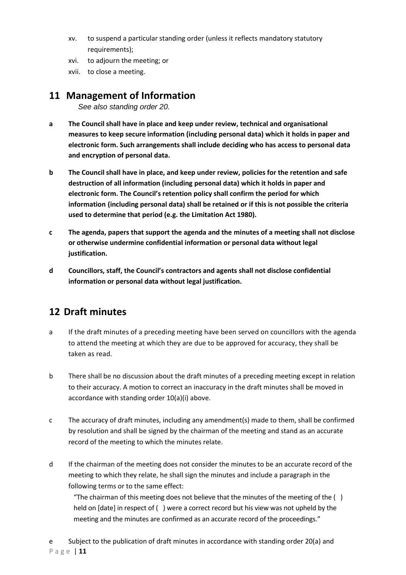- xv. to suspend a particular standing order (unless it reflects mandatory statutory requirements);
- xvi. to adjourn the meeting; or
- xvii. to close a meeting.

#### <span id="page-10-0"></span>**11 Management of Information**

*See also standing order 20.* 

- **a The Council shall have in place and keep under review, technical and organisational measures to keep secure information (including personal data) which it holds in paper and electronic form. Such arrangements shall include deciding who has access to personal data and encryption of personal data.**
- **b The Council shall have in place, and keep under review, policies for the retention and safe destruction of all information (including personal data) which it holds in paper and electronic form. The Council's retention policy shall confirm the period for which information (including personal data) shall be retained or if this is not possible the criteria used to determine that period (e.g. the Limitation Act 1980).**
- **c The agenda, papers that support the agenda and the minutes of a meeting shall not disclose or otherwise undermine confidential information or personal data without legal justification.**
- **d Councillors, staff, the Council's contractors and agents shall not disclose confidential information or personal data without legal justification.**

## <span id="page-10-1"></span>**12 Draft minutes**

- a If the draft minutes of a preceding meeting have been served on councillors with the agenda to attend the meeting at which they are due to be approved for accuracy, they shall be taken as read.
- b There shall be no discussion about the draft minutes of a preceding meeting except in relation to their accuracy. A motion to correct an inaccuracy in the draft minutes shall be moved in accordance with standing order 10(a)(i) above.
- c The accuracy of draft minutes, including any amendment(s) made to them, shall be confirmed by resolution and shall be signed by the chairman of the meeting and stand as an accurate record of the meeting to which the minutes relate.
- d If the chairman of the meeting does not consider the minutes to be an accurate record of the meeting to which they relate, he shall sign the minutes and include a paragraph in the following terms or to the same effect:

"The chairman of this meeting does not believe that the minutes of the meeting of the  $( )$ held on [date] in respect of ( ) were a correct record but his view was not upheld by the meeting and the minutes are confirmed as an accurate record of the proceedings."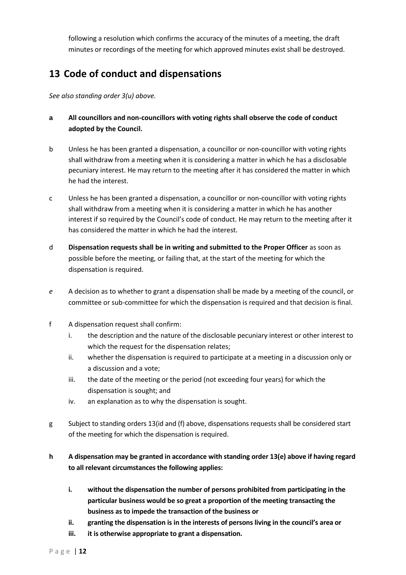following a resolution which confirms the accuracy of the minutes of a meeting, the draft minutes or recordings of the meeting for which approved minutes exist shall be destroyed.

## <span id="page-11-0"></span>**13 Code of conduct and dispensations**

*See also standing order 3(u) above.* 

- **a All councillors and non-councillors with voting rights shall observe the code of conduct adopted by the Council.**
- b Unless he has been granted a dispensation, a councillor or non-councillor with voting rights shall withdraw from a meeting when it is considering a matter in which he has a disclosable pecuniary interest. He may return to the meeting after it has considered the matter in which he had the interest.
- c Unless he has been granted a dispensation, a councillor or non-councillor with voting rights shall withdraw from a meeting when it is considering a matter in which he has another interest if so required by the Council's code of conduct. He may return to the meeting after it has considered the matter in which he had the interest.
- d **Dispensation requests shall be in writing and submitted to the Proper Officer** as soon as possible before the meeting, or failing that, at the start of the meeting for which the dispensation is required.
- *e* A decision as to whether to grant a dispensation shall be made by a meeting of the council, or committee or sub-committee for which the dispensation is required and that decision is final.
- f A dispensation request shall confirm:
	- i. the description and the nature of the disclosable pecuniary interest or other interest to which the request for the dispensation relates;
	- ii. whether the dispensation is required to participate at a meeting in a discussion only or a discussion and a vote;
	- iii. the date of the meeting or the period (not exceeding four years) for which the dispensation is sought; and
	- iv. an explanation as to why the dispensation is sought.
- g Subject to standing orders 13(id and (f) above, dispensations requests shall be considered start of the meeting for which the dispensation is required.
- **h A dispensation may be granted in accordance with standing order 13(e) above if having regard to all relevant circumstances the following applies:** 
	- **i. without the dispensation the number of persons prohibited from participating in the particular business would be so great a proportion of the meeting transacting the business as to impede the transaction of the business or**
	- **ii. granting the dispensation is in the interests of persons living in the council's area or**
	- **iii. it is otherwise appropriate to grant a dispensation.**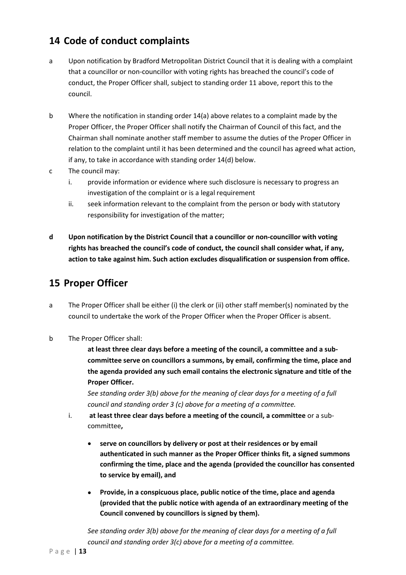## <span id="page-12-0"></span>**14 Code of conduct complaints**

- a Upon notification by Bradford Metropolitan District Council that it is dealing with a complaint that a councillor or non-councillor with voting rights has breached the council's code of conduct, the Proper Officer shall, subject to standing order 11 above, report this to the council.
- b Where the notification in standing order 14(a) above relates to a complaint made by the Proper Officer, the Proper Officer shall notify the Chairman of Council of this fact, and the Chairman shall nominate another staff member to assume the duties of the Proper Officer in relation to the complaint until it has been determined and the council has agreed what action, if any, to take in accordance with standing order 14(d) below.
- c The council may:
	- i. provide information or evidence where such disclosure is necessary to progress an investigation of the complaint or is a legal requirement
	- ii. seek information relevant to the complaint from the person or body with statutory responsibility for investigation of the matter;
- **d Upon notification by the District Council that a councillor or non-councillor with voting rights has breached the council's code of conduct, the council shall consider what, if any, action to take against him. Such action excludes disqualification or suspension from office.**

#### <span id="page-12-1"></span>**15 Proper Officer**

- a The Proper Officer shall be either (i) the clerk or (ii) other staff member(s) nominated by the council to undertake the work of the Proper Officer when the Proper Officer is absent.
- b The Proper Officer shall:

**at least three clear days before a meeting of the council, a committee and a subcommittee serve on councillors a summons, by email, confirming the time, place and the agenda provided any such email contains the electronic signature and title of the Proper Officer.** 

*See standing order 3(b) above for the meaning of clear days for a meeting of a full council and standing order 3 (c) above for a meeting of a committee.* 

- i. **at least three clear days before a meeting of the council, a committee** or a subcommittee**,**
	- **serve on councillors by delivery or post at their residences or by email authenticated in such manner as the Proper Officer thinks fit, a signed summons confirming the time, place and the agenda (provided the councillor has consented to service by email), and**
	- **Provide, in a conspicuous place, public notice of the time, place and agenda (provided that the public notice with agenda of an extraordinary meeting of the Council convened by councillors is signed by them).**

*See standing order 3(b) above for the meaning of clear days for a meeting of a full council and standing order 3(c) above for a meeting of a committee.*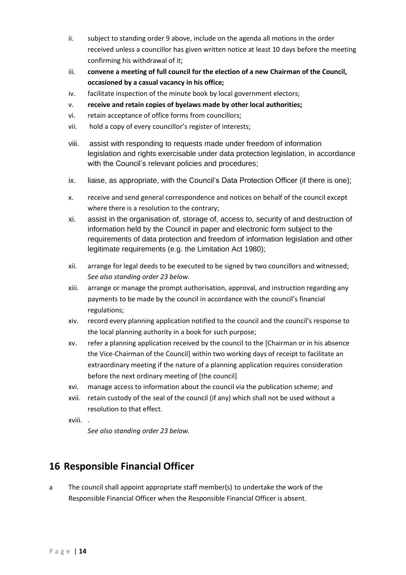- ii. subject to standing order 9 above, include on the agenda all motions in the order received unless a councillor has given written notice at least 10 days before the meeting confirming his withdrawal of it;
- iii. **convene a meeting of full council for the election of a new Chairman of the Council, occasioned by a casual vacancy in his office;**
- iv. facilitate inspection of the minute book by local government electors;
- v. **receive and retain copies of byelaws made by other local authorities;**
- vi. retain acceptance of office forms from councillors;
- vii. hold a copy of every councillor's register of interests;
- viii. assist with responding to requests made under freedom of information legislation and rights exercisable under data protection legislation, in accordance with the Council's relevant policies and procedures;
- ix. liaise, as appropriate, with the Council's Data Protection Officer (if there is one);
- x. receive and send general correspondence and notices on behalf of the council except where there is a resolution to the contrary;
- xi. assist in the organisation of, storage of, access to, security of and destruction of information held by the Council in paper and electronic form subject to the requirements of data protection and freedom of information legislation and other legitimate requirements (e.g. the Limitation Act 1980);
- xii. arrange for legal deeds to be executed to be signed by two councillors and witnessed; *See also standing order 23 below.*
- xiii. arrange or manage the prompt authorisation, approval, and instruction regarding any payments to be made by the council in accordance with the council's financial regulations;
- xiv. record every planning application notified to the council and the council's response to the local planning authority in a book for such purpose;
- xv. refer a planning application received by the council to the [Chairman or in his absence the Vice-Chairman of the Council] within two working days of receipt to facilitate an extraordinary meeting if the nature of a planning application requires consideration before the next ordinary meeting of [the council]
- xvi. manage access to information about the council via the publication scheme; and
- xvii. retain custody of the seal of the council (if any) which shall not be used without a resolution to that effect.
- xviii. .

*See also standing order 23 below.*

## <span id="page-13-0"></span>**16 Responsible Financial Officer**

a The council shall appoint appropriate staff member(s) to undertake the work of the Responsible Financial Officer when the Responsible Financial Officer is absent.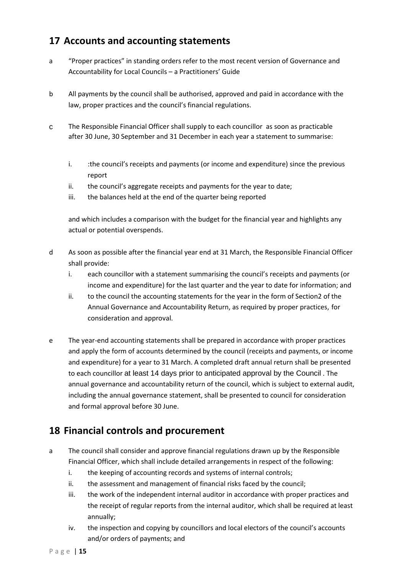## <span id="page-14-0"></span>**17 Accounts and accounting statements**

- a "Proper practices" in standing orders refer to the most recent version of Governance and Accountability for Local Councils – a Practitioners' Guide
- b All payments by the council shall be authorised, approved and paid in accordance with the law, proper practices and the council's financial regulations.
- c The Responsible Financial Officer shall supply to each councillor as soon as practicable after 30 June, 30 September and 31 December in each year a statement to summarise:
	- i. : the council's receipts and payments (or income and expenditure) since the previous report
	- ii. the council's aggregate receipts and payments for the year to date;
	- iii. the balances held at the end of the quarter being reported

and which includes a comparison with the budget for the financial year and highlights any actual or potential overspends.

- d As soon as possible after the financial year end at 31 March, the Responsible Financial Officer shall provide:
	- i. each councillor with a statement summarising the council's receipts and payments (or income and expenditure) for the last quarter and the year to date for information; and
	- ii. to the council the accounting statements for the year in the form of Section2 of the Annual Governance and Accountability Return, as required by proper practices, for consideration and approval.
- e The year-end accounting statements shall be prepared in accordance with proper practices and apply the form of accounts determined by the council (receipts and payments, or income and expenditure) for a year to 31 March. A completed draft annual return shall be presented to each councillor at least 14 days prior to anticipated approval by the Council . The annual governance and accountability return of the council, which is subject to external audit, including the annual governance statement, shall be presented to council for consideration and formal approval before 30 June.

# <span id="page-14-1"></span>**18 Financial controls and procurement**

- a The council shall consider and approve financial regulations drawn up by the Responsible Financial Officer, which shall include detailed arrangements in respect of the following:
	- i. the keeping of accounting records and systems of internal controls;
	- ii. the assessment and management of financial risks faced by the council;
	- iii. the work of the independent internal auditor in accordance with proper practices and the receipt of regular reports from the internal auditor, which shall be required at least annually;
	- iv. the inspection and copying by councillors and local electors of the council's accounts and/or orders of payments; and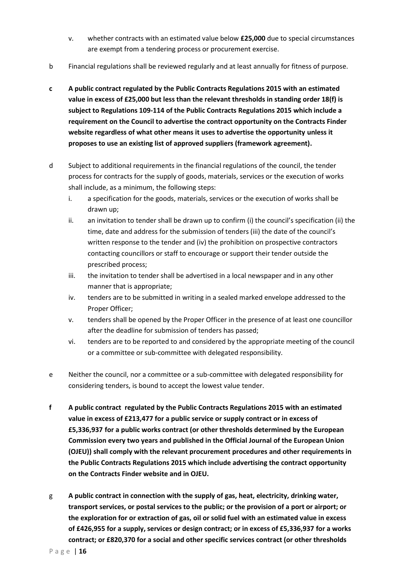- v. whether contracts with an estimated value below **£25,000** due to special circumstances are exempt from a tendering process or procurement exercise.
- b Financial regulations shall be reviewed regularly and at least annually for fitness of purpose.
- **c A public contract regulated by the Public Contracts Regulations 2015 with an estimated value in excess of £25,000 but less than the relevant thresholds in standing order 18(f) is subject to Regulations 109-114 of the Public Contracts Regulations 2015 which include a requirement on the Council to advertise the contract opportunity on the Contracts Finder website regardless of what other means it uses to advertise the opportunity unless it proposes to use an existing list of approved suppliers (framework agreement).**
- d Subject to additional requirements in the financial regulations of the council, the tender process for contracts for the supply of goods, materials, services or the execution of works shall include, as a minimum, the following steps:
	- i. a specification for the goods, materials, services or the execution of works shall be drawn up;
	- ii. an invitation to tender shall be drawn up to confirm (i) the council's specification (ii) the time, date and address for the submission of tenders (iii) the date of the council's written response to the tender and (iv) the prohibition on prospective contractors contacting councillors or staff to encourage or support their tender outside the prescribed process;
	- iii. the invitation to tender shall be advertised in a local newspaper and in any other manner that is appropriate;
	- iv. tenders are to be submitted in writing in a sealed marked envelope addressed to the Proper Officer;
	- v. tenders shall be opened by the Proper Officer in the presence of at least one councillor after the deadline for submission of tenders has passed;
	- vi. tenders are to be reported to and considered by the appropriate meeting of the council or a committee or sub-committee with delegated responsibility.
- e Neither the council, nor a committee or a sub-committee with delegated responsibility for considering tenders, is bound to accept the lowest value tender.
- **f A public contract regulated by the Public Contracts Regulations 2015 with an estimated value in excess of £213,477 for a public service or supply contract or in excess of £5,336,937 for a public works contract (or other thresholds determined by the European Commission every two years and published in the Official Journal of the European Union (OJEU)) shall comply with the relevant procurement procedures and other requirements in the Public Contracts Regulations 2015 which include advertising the contract opportunity on the Contracts Finder website and in OJEU.**
- g **A public contract in connection with the supply of gas, heat, electricity, drinking water, transport services, or postal services to the public; or the provision of a port or airport; or the exploration for or extraction of gas, oil or solid fuel with an estimated value in excess of £426,955 for a supply, services or design contract; or in excess of £5,336,937 for a works contract; or £820,370 for a social and other specific services contract (or other thresholds**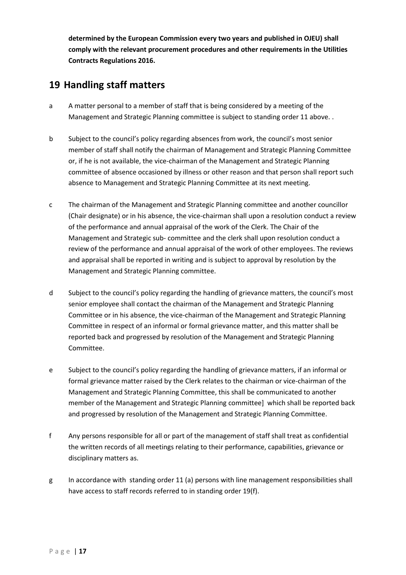**determined by the European Commission every two years and published in OJEU) shall comply with the relevant procurement procedures and other requirements in the Utilities Contracts Regulations 2016.**

## <span id="page-16-0"></span>**19 Handling staff matters**

- a A matter personal to a member of staff that is being considered by a meeting of the Management and Strategic Planning committee is subject to standing order 11 above. .
- b Subject to the council's policy regarding absences from work, the council's most senior member of staff shall notify the chairman of Management and Strategic Planning Committee or, if he is not available, the vice-chairman of the Management and Strategic Planning committee of absence occasioned by illness or other reason and that person shall report such absence to Management and Strategic Planning Committee at its next meeting.
- c The chairman of the Management and Strategic Planning committee and another councillor (Chair designate) or in his absence, the vice-chairman shall upon a resolution conduct a review of the performance and annual appraisal of the work of the Clerk. The Chair of the Management and Strategic sub- committee and the clerk shall upon resolution conduct a review of the performance and annual appraisal of the work of other employees. The reviews and appraisal shall be reported in writing and is subject to approval by resolution by the Management and Strategic Planning committee.
- d Subject to the council's policy regarding the handling of grievance matters, the council's most senior employee shall contact the chairman of the Management and Strategic Planning Committee or in his absence, the vice-chairman of the Management and Strategic Planning Committee in respect of an informal or formal grievance matter, and this matter shall be reported back and progressed by resolution of the Management and Strategic Planning Committee.
- e Subject to the council's policy regarding the handling of grievance matters, if an informal or formal grievance matter raised by the Clerk relates to the chairman or vice-chairman of the Management and Strategic Planning Committee, this shall be communicated to another member of the Management and Strategic Planning committee] which shall be reported back and progressed by resolution of the Management and Strategic Planning Committee.
- f Any persons responsible for all or part of the management of staff shall treat as confidential the written records of all meetings relating to their performance, capabilities, grievance or disciplinary matters as.
- g In accordance with standing order 11 (a) persons with line management responsibilities shall have access to staff records referred to in standing order 19(f).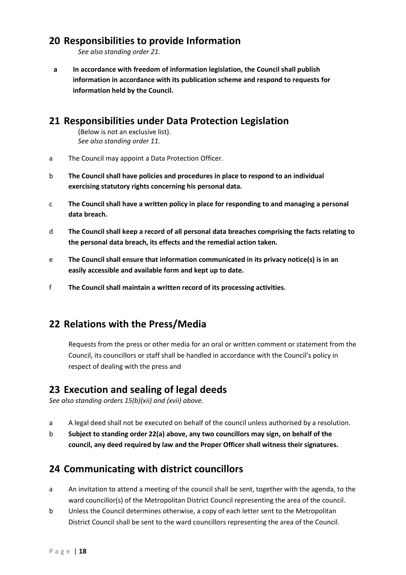#### <span id="page-17-0"></span>**20 Responsibilities to provide Information**

*See also standing order 21.* 

**a In accordance with freedom of information legislation, the Council shall publish information in accordance with its publication scheme and respond to requests for information held by the Council.** 

#### <span id="page-17-1"></span>**21 Responsibilities under Data Protection Legislation**

(Below is not an exclusive list). *See also standing order 11.* 

- a The Council may appoint a Data Protection Officer.
- b **The Council shall have policies and procedures in place to respond to an individual exercising statutory rights concerning his personal data.**
- c **The Council shall have a written policy in place for responding to and managing a personal data breach.**
- d **The Council shall keep a record of all personal data breaches comprising the facts relating to the personal data breach, its effects and the remedial action taken.**
- e **The Council shall ensure that information communicated in its privacy notice(s) is in an easily accessible and available form and kept up to date.**
- f **The Council shall maintain a written record of its processing activities.**

## <span id="page-17-2"></span>**22 Relations with the Press/Media**

Requests from the press or other media for an oral or written comment or statement from the Council, its councillors or staff shall be handled in accordance with the Council's policy in respect of dealing with the press and

#### <span id="page-17-3"></span>**23 Execution and sealing of legal deeds**

*See also standing orders 15(b)(xii) and (xvii) above.* 

- a A legal deed shall not be executed on behalf of the council unless authorised by a resolution.
- b **Subject to standing order 22(a) above, any two councillors may sign, on behalf of the council, any deed required by law and the Proper Officer shall witness their signatures.**

#### <span id="page-17-4"></span>**24 Communicating with district councillors**

- a An invitation to attend a meeting of the council shall be sent, together with the agenda, to the ward councillor(s) of the Metropolitan District Council representing the area of the council.
- b Unless the Council determines otherwise, a copy of each letter sent to the Metropolitan District Council shall be sent to the ward councillors representing the area of the Council.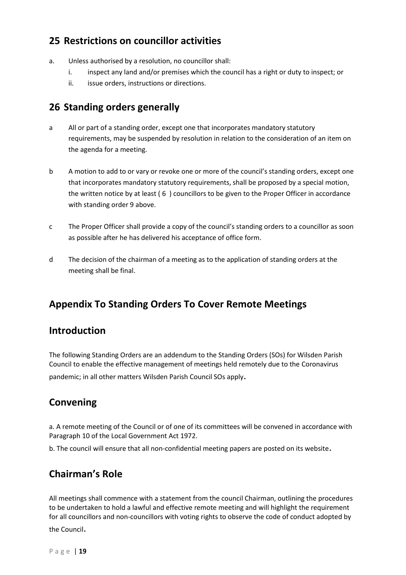## <span id="page-18-0"></span>**25 Restrictions on councillor activities**

- a. Unless authorised by a resolution, no councillor shall:
	- i. inspect any land and/or premises which the council has a right or duty to inspect; or
	- ii. issue orders, instructions or directions.

## <span id="page-18-1"></span>**26 Standing orders generally**

- a All or part of a standing order, except one that incorporates mandatory statutory requirements, may be suspended by resolution in relation to the consideration of an item on the agenda for a meeting.
- b A motion to add to or vary or revoke one or more of the council's standing orders, except one that incorporates mandatory statutory requirements, shall be proposed by a special motion, the written notice by at least ( 6 ) councillors to be given to the Proper Officer in accordance with standing order 9 above.
- c The Proper Officer shall provide a copy of the council's standing orders to a councillor as soon as possible after he has delivered his acceptance of office form.
- d The decision of the chairman of a meeting as to the application of standing orders at the meeting shall be final.

# **Appendix To Standing Orders To Cover Remote Meetings**

#### **Introduction**

The following Standing Orders are an addendum to the Standing Orders (SOs) for Wilsden Parish Council to enable the effective management of meetings held remotely due to the Coronavirus pandemic; in all other matters Wilsden Parish Council SOs apply.

## **Convening**

a. A remote meeting of the Council or of one of its committees will be convened in accordance with Paragraph 10 of the Local Government Act 1972.

b. The council will ensure that all non-confidential meeting papers are posted on its website.

## **Chairman's Role**

All meetings shall commence with a statement from the council Chairman, outlining the procedures to be undertaken to hold a lawful and effective remote meeting and will highlight the requirement for all councillors and non-councillors with voting rights to observe the code of conduct adopted by the Council.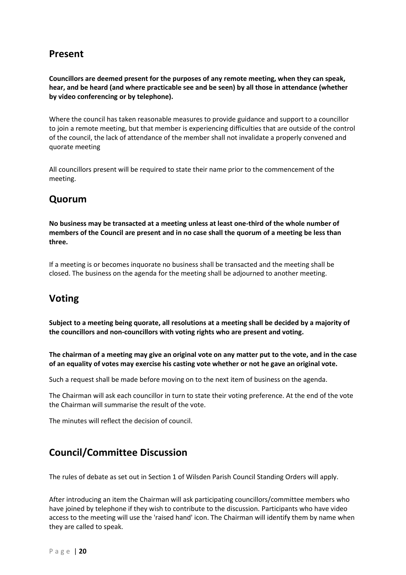## **Present**

**Councillors are deemed present for the purposes of any remote meeting, when they can speak, hear, and be heard (and where practicable see and be seen) by all those in attendance (whether by video conferencing or by telephone).** 

Where the council has taken reasonable measures to provide guidance and support to a councillor to join a remote meeting, but that member is experiencing difficulties that are outside of the control of the council, the lack of attendance of the member shall not invalidate a properly convened and quorate meeting

All councillors present will be required to state their name prior to the commencement of the meeting.

## **Quorum**

**No business may be transacted at a meeting unless at least one-third of the whole number of members of the Council are present and in no case shall the quorum of a meeting be less than three.**

If a meeting is or becomes inquorate no business shall be transacted and the meeting shall be closed. The business on the agenda for the meeting shall be adjourned to another meeting.

# **Voting**

**Subject to a meeting being quorate, all resolutions at a meeting shall be decided by a majority of the councillors and non-councillors with voting rights who are present and voting.** 

**The chairman of a meeting may give an original vote on any matter put to the vote, and in the case of an equality of votes may exercise his casting vote whether or not he gave an original vote.** 

Such a request shall be made before moving on to the next item of business on the agenda.

The Chairman will ask each councillor in turn to state their voting preference. At the end of the vote the Chairman will summarise the result of the vote.

The minutes will reflect the decision of council.

# **Council/Committee Discussion**

The rules of debate as set out in Section 1 of Wilsden Parish Council Standing Orders will apply.

After introducing an item the Chairman will ask participating councillors/committee members who have joined by telephone if they wish to contribute to the discussion. Participants who have video access to the meeting will use the 'raised hand' icon. The Chairman will identify them by name when they are called to speak.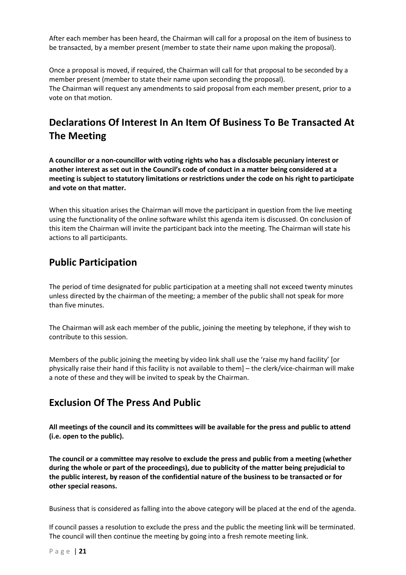After each member has been heard, the Chairman will call for a proposal on the item of business to be transacted, by a member present (member to state their name upon making the proposal).

Once a proposal is moved, if required, the Chairman will call for that proposal to be seconded by a member present (member to state their name upon seconding the proposal). The Chairman will request any amendments to said proposal from each member present, prior to a vote on that motion.

# **Declarations Of Interest In An Item Of Business To Be Transacted At The Meeting**

**A councillor or a non-councillor with voting rights who has a disclosable pecuniary interest or another interest as set out in the Council's code of conduct in a matter being considered at a meeting is subject to statutory limitations or restrictions under the code on his right to participate and vote on that matter.** 

When this situation arises the Chairman will move the participant in question from the live meeting using the functionality of the online software whilst this agenda item is discussed. On conclusion of this item the Chairman will invite the participant back into the meeting. The Chairman will state his actions to all participants.

#### **Public Participation**

The period of time designated for public participation at a meeting shall not exceed twenty minutes unless directed by the chairman of the meeting; a member of the public shall not speak for more than five minutes.

The Chairman will ask each member of the public, joining the meeting by telephone, if they wish to contribute to this session.

Members of the public joining the meeting by video link shall use the 'raise my hand facility' [or physically raise their hand if this facility is not available to them] – the clerk/vice-chairman will make a note of these and they will be invited to speak by the Chairman.

#### **Exclusion Of The Press And Public**

**All meetings of the council and its committees will be available for the press and public to attend (i.e. open to the public).**

**The council or a committee may resolve to exclude the press and public from a meeting (whether during the whole or part of the proceedings), due to publicity of the matter being prejudicial to the public interest, by reason of the confidential nature of the business to be transacted or for other special reasons.** 

Business that is considered as falling into the above category will be placed at the end of the agenda.

If council passes a resolution to exclude the press and the public the meeting link will be terminated. The council will then continue the meeting by going into a fresh remote meeting link.